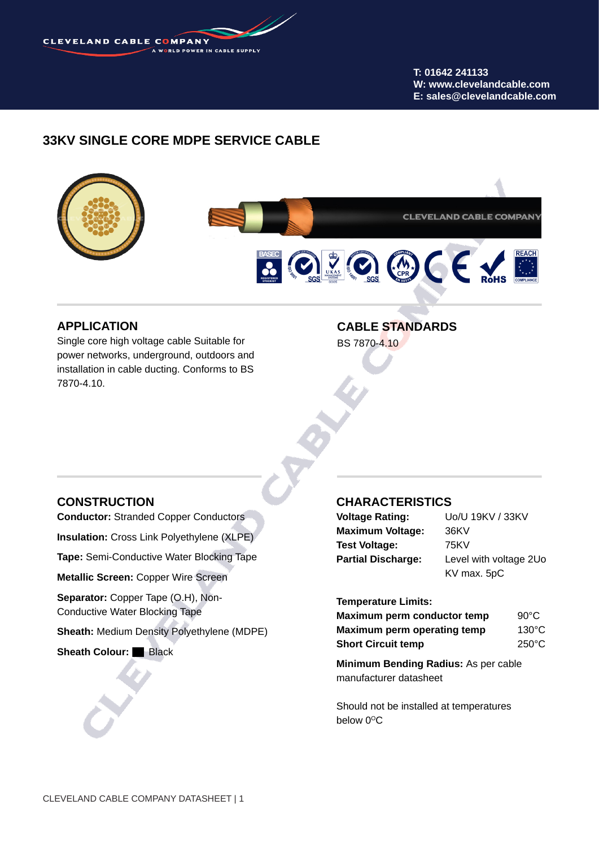

**T: 01642 241133 W: www.clevelandcable.com E: sales@clevelandcable.com**

# **33KV SINGLE CORE MDPE SERVICE CABLE**



## **APPLICATION**

Single core high voltage cable Suitable for power networks, underground, outdoors and installation in cable ducting. Conforms to BS 7870-4.10.

# **CABLE STANDARDS**

BS 7870-4.10

### **CONSTRUCTION**

**Conductor:** Stranded Copper Conductors

**Insulation:** Cross Link Polyethylene (XLPE)

**Tape:** Semi-Conductive Water Blocking Tape

**Metallic Screen:** Copper Wire Screen

Separator: Copper Tape (O.H), Non-Conductive Water Blocking Tape

**Sheath:** Medium Density Polyethylene (MDPE)

**Sheath Colour:** Black

### **CHARACTERISTICS**

| <b>Voltage Rating:</b>    | Uo/U 19KV / 33KV       |  |
|---------------------------|------------------------|--|
| <b>Maximum Voltage:</b>   | 36KV                   |  |
| <b>Test Voltage:</b>      | 75KV                   |  |
| <b>Partial Discharge:</b> | Level with voltage 2Uo |  |
|                           | KV max. 5pC            |  |

#### **Temperature Limits:**

| Maximum perm conductor temp | $90^{\circ}$ C  |
|-----------------------------|-----------------|
| Maximum perm operating temp | $130^{\circ}$ C |
| <b>Short Circuit temp</b>   | $250^{\circ}$ C |

**Minimum Bending Radius:** As per cable manufacturer datasheet

Should not be installed at temperatures below 0°C